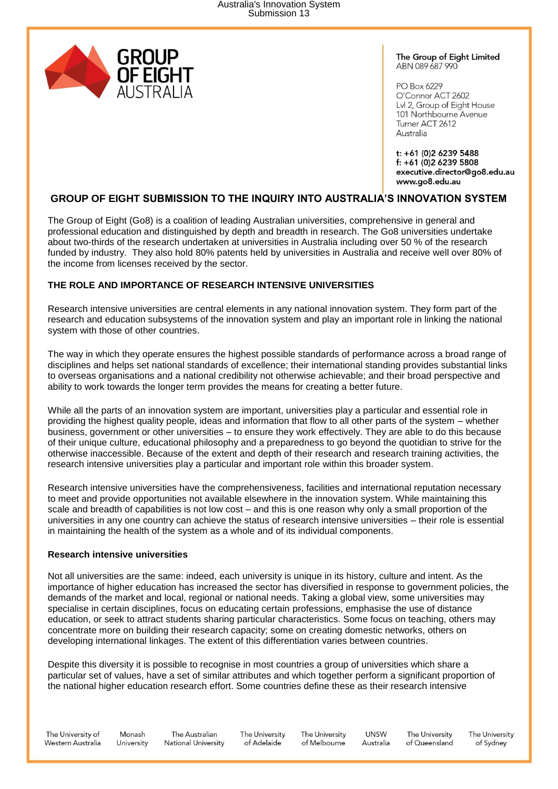

The Group of Eight Limited ABN 089 687 990

PO Box 6229 O'Connor ACT 2602 Lvl 2, Group of Eight House 101 Northbourne Avenue Turner ACT 2612 Australia

t: +61 (0)2 6239 5488 f: +61 (0)2 6239 5808 executive.director@go8.edu.au www.go8.edu.au

# **GROUP OF EIGHT SUBMISSION TO THE INQUIRY INTO AUSTRALIA'S INNOVATION SYSTEM**

The Group of Eight (Go8) is a coalition of leading Australian universities, comprehensive in general and professional education and distinguished by depth and breadth in research. The Go8 universities undertake about two-thirds of the research undertaken at universities in Australia including over 50 % of the research funded by industry. They also hold 80% patents held by universities in Australia and receive well over 80% of the income from licenses received by the sector.

## **THE ROLE AND IMPORTANCE OF RESEARCH INTENSIVE UNIVERSITIES**

Research intensive universities are central elements in any national innovation system. They form part of the research and education subsystems of the innovation system and play an important role in linking the national system with those of other countries.

The way in which they operate ensures the highest possible standards of performance across a broad range of disciplines and helps set national standards of excellence; their international standing provides substantial links to overseas organisations and a national credibility not otherwise achievable; and their broad perspective and ability to work towards the longer term provides the means for creating a better future.

While all the parts of an innovation system are important, universities play a particular and essential role in providing the highest quality people, ideas and information that flow to all other parts of the system – whether business, government or other universities – to ensure they work effectively. They are able to do this because of their unique culture, educational philosophy and a preparedness to go beyond the quotidian to strive for the otherwise inaccessible. Because of the extent and depth of their research and research training activities, the research intensive universities play a particular and important role within this broader system.

Research intensive universities have the comprehensiveness, facilities and international reputation necessary to meet and provide opportunities not available elsewhere in the innovation system. While maintaining this scale and breadth of capabilities is not low cost – and this is one reason why only a small proportion of the universities in any one country can achieve the status of research intensive universities – their role is essential in maintaining the health of the system as a whole and of its individual components.

### **Research intensive universities**

Not all universities are the same: indeed, each university is unique in its history, culture and intent. As the importance of higher education has increased the sector has diversified in response to government policies, the demands of the market and local, regional or national needs. Taking a global view, some universities may specialise in certain disciplines, focus on educating certain professions, emphasise the use of distance education, or seek to attract students sharing particular characteristics. Some focus on teaching, others may concentrate more on building their research capacity; some on creating domestic networks, others on developing international linkages. The extent of this differentiation varies between countries.

Despite this diversity it is possible to recognise in most countries a group of universities which share a particular set of values, have a set of similar attributes and which together perform a significant proportion of the national higher education research effort. Some countries define these as their research intensive

The University of Western Australia

Monash The Australian University **National University** 

The University of Adelaide

The University of Melbourne

**UNSW** Australia

The University of Queensland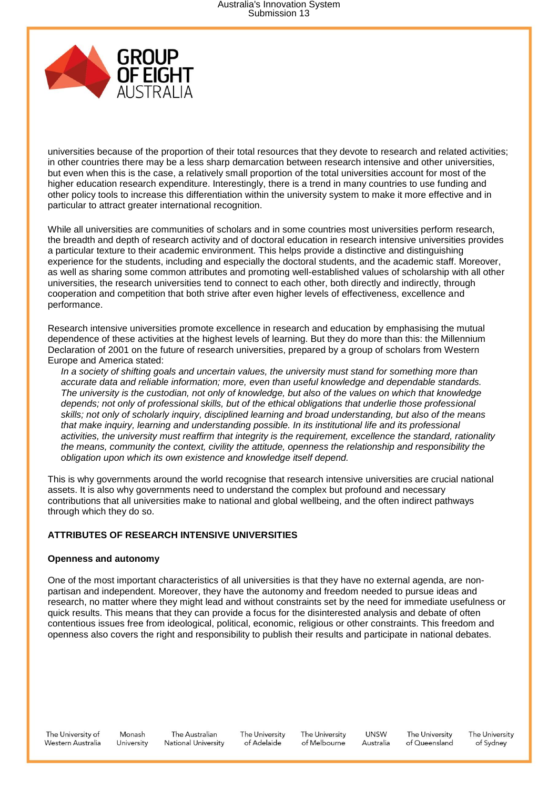

universities because of the proportion of their total resources that they devote to research and related activities; in other countries there may be a less sharp demarcation between research intensive and other universities, but even when this is the case, a relatively small proportion of the total universities account for most of the higher education research expenditure. Interestingly, there is a trend in many countries to use funding and other policy tools to increase this differentiation within the university system to make it more effective and in particular to attract greater international recognition.

While all universities are communities of scholars and in some countries most universities perform research, the breadth and depth of research activity and of doctoral education in research intensive universities provides a particular texture to their academic environment. This helps provide a distinctive and distinguishing experience for the students, including and especially the doctoral students, and the academic staff. Moreover, as well as sharing some common attributes and promoting well-established values of scholarship with all other universities, the research universities tend to connect to each other, both directly and indirectly, through cooperation and competition that both strive after even higher levels of effectiveness, excellence and performance.

Research intensive universities promote excellence in research and education by emphasising the mutual dependence of these activities at the highest levels of learning. But they do more than this: the Millennium Declaration of 2001 on the future of research universities, prepared by a group of scholars from Western Europe and America stated:

*In a society of shifting goals and uncertain values, the university must stand for something more than accurate data and reliable information; more, even than useful knowledge and dependable standards. The university is the custodian, not only of knowledge, but also of the values on which that knowledge depends; not only of professional skills, but of the ethical obligations that underlie those professional skills; not only of scholarly inquiry, disciplined learning and broad understanding, but also of the means that make inquiry, learning and understanding possible. In its institutional life and its professional activities, the university must reaffirm that integrity is the requirement, excellence the standard, rationality the means, community the context, civility the attitude, openness the relationship and responsibility the obligation upon which its own existence and knowledge itself depend.*

This is why governments around the world recognise that research intensive universities are crucial national assets. It is also why governments need to understand the complex but profound and necessary contributions that all universities make to national and global wellbeing, and the often indirect pathways through which they do so.

### **ATTRIBUTES OF RESEARCH INTENSIVE UNIVERSITIES**

### **Openness and autonomy**

One of the most important characteristics of all universities is that they have no external agenda, are nonpartisan and independent. Moreover, they have the autonomy and freedom needed to pursue ideas and research, no matter where they might lead and without constraints set by the need for immediate usefulness or quick results. This means that they can provide a focus for the disinterested analysis and debate of often contentious issues free from ideological, political, economic, religious or other constraints. This freedom and openness also covers the right and responsibility to publish their results and participate in national debates.

The University of Western Australia

Monash The Australian **National University** University

The University of Adelaide

The University of Melbourne

**UNSW** Australia

The University of Queensland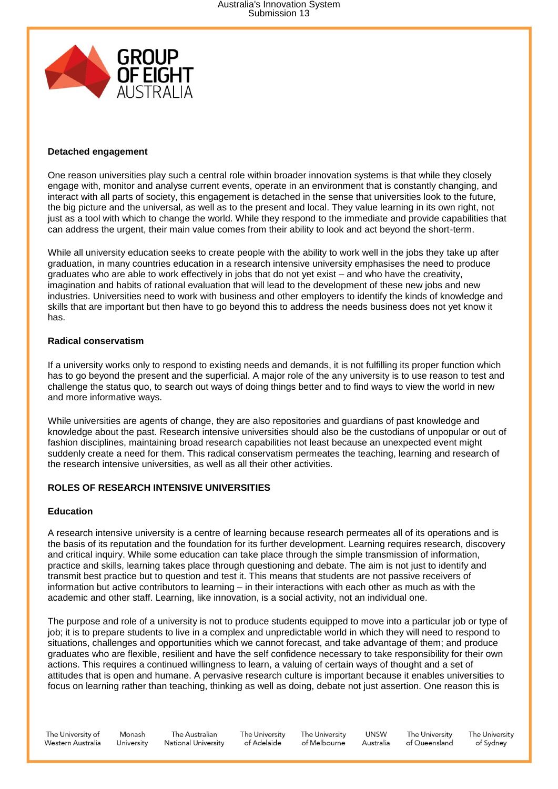

### **Detached engagement**

One reason universities play such a central role within broader innovation systems is that while they closely engage with, monitor and analyse current events, operate in an environment that is constantly changing, and interact with all parts of society, this engagement is detached in the sense that universities look to the future, the big picture and the universal, as well as to the present and local. They value learning in its own right, not just as a tool with which to change the world. While they respond to the immediate and provide capabilities that can address the urgent, their main value comes from their ability to look and act beyond the short-term.

While all university education seeks to create people with the ability to work well in the jobs they take up after graduation, in many countries education in a research intensive university emphasises the need to produce graduates who are able to work effectively in jobs that do not yet exist – and who have the creativity, imagination and habits of rational evaluation that will lead to the development of these new jobs and new industries. Universities need to work with business and other employers to identify the kinds of knowledge and skills that are important but then have to go beyond this to address the needs business does not yet know it has.

### **Radical conservatism**

If a university works only to respond to existing needs and demands, it is not fulfilling its proper function which has to go beyond the present and the superficial. A major role of the any university is to use reason to test and challenge the status quo, to search out ways of doing things better and to find ways to view the world in new and more informative ways.

While universities are agents of change, they are also repositories and guardians of past knowledge and knowledge about the past. Research intensive universities should also be the custodians of unpopular or out of fashion disciplines, maintaining broad research capabilities not least because an unexpected event might suddenly create a need for them. This radical conservatism permeates the teaching, learning and research of the research intensive universities, as well as all their other activities.

### **ROLES OF RESEARCH INTENSIVE UNIVERSITIES**

### **Education**

A research intensive university is a centre of learning because research permeates all of its operations and is the basis of its reputation and the foundation for its further development. Learning requires research, discovery and critical inquiry. While some education can take place through the simple transmission of information, practice and skills, learning takes place through questioning and debate. The aim is not just to identify and transmit best practice but to question and test it. This means that students are not passive receivers of information but active contributors to learning – in their interactions with each other as much as with the academic and other staff. Learning, like innovation, is a social activity, not an individual one.

The purpose and role of a university is not to produce students equipped to move into a particular job or type of job; it is to prepare students to live in a complex and unpredictable world in which they will need to respond to situations, challenges and opportunities which we cannot forecast, and take advantage of them; and produce graduates who are flexible, resilient and have the self confidence necessary to take responsibility for their own actions. This requires a continued willingness to learn, a valuing of certain ways of thought and a set of attitudes that is open and humane. A pervasive research culture is important because it enables universities to focus on learning rather than teaching, thinking as well as doing, debate not just assertion. One reason this is

The University of Western Australia

Monash The Australian **National University** University

The University of Adelaide

The University of Melbourne

**UNSW** Australia

The University of Queensland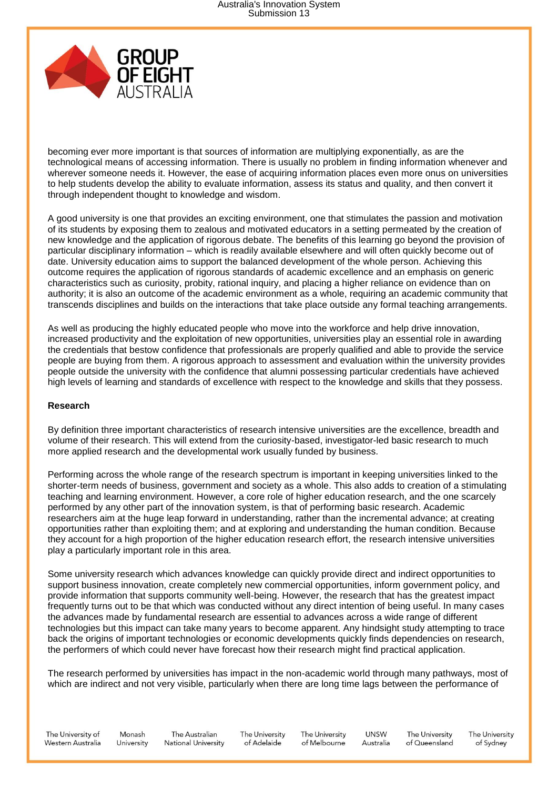

becoming ever more important is that sources of information are multiplying exponentially, as are the technological means of accessing information. There is usually no problem in finding information whenever and wherever someone needs it. However, the ease of acquiring information places even more onus on universities to help students develop the ability to evaluate information, assess its status and quality, and then convert it through independent thought to knowledge and wisdom.

A good university is one that provides an exciting environment, one that stimulates the passion and motivation of its students by exposing them to zealous and motivated educators in a setting permeated by the creation of new knowledge and the application of rigorous debate. The benefits of this learning go beyond the provision of particular disciplinary information – which is readily available elsewhere and will often quickly become out of date. University education aims to support the balanced development of the whole person. Achieving this outcome requires the application of rigorous standards of academic excellence and an emphasis on generic characteristics such as curiosity, probity, rational inquiry, and placing a higher reliance on evidence than on authority; it is also an outcome of the academic environment as a whole, requiring an academic community that transcends disciplines and builds on the interactions that take place outside any formal teaching arrangements.

As well as producing the highly educated people who move into the workforce and help drive innovation, increased productivity and the exploitation of new opportunities, universities play an essential role in awarding the credentials that bestow confidence that professionals are properly qualified and able to provide the service people are buying from them. A rigorous approach to assessment and evaluation within the university provides people outside the university with the confidence that alumni possessing particular credentials have achieved high levels of learning and standards of excellence with respect to the knowledge and skills that they possess.

### **Research**

By definition three important characteristics of research intensive universities are the excellence, breadth and volume of their research. This will extend from the curiosity-based, investigator-led basic research to much more applied research and the developmental work usually funded by business.

Performing across the whole range of the research spectrum is important in keeping universities linked to the shorter-term needs of business, government and society as a whole. This also adds to creation of a stimulating teaching and learning environment. However, a core role of higher education research, and the one scarcely performed by any other part of the innovation system, is that of performing basic research. Academic researchers aim at the huge leap forward in understanding, rather than the incremental advance; at creating opportunities rather than exploiting them; and at exploring and understanding the human condition. Because they account for a high proportion of the higher education research effort, the research intensive universities play a particularly important role in this area.

Some university research which advances knowledge can quickly provide direct and indirect opportunities to support business innovation, create completely new commercial opportunities, inform government policy, and provide information that supports community well-being. However, the research that has the greatest impact frequently turns out to be that which was conducted without any direct intention of being useful. In many cases the advances made by fundamental research are essential to advances across a wide range of different technologies but this impact can take many years to become apparent. Any hindsight study attempting to trace back the origins of important technologies or economic developments quickly finds dependencies on research, the performers of which could never have forecast how their research might find practical application.

The research performed by universities has impact in the non-academic world through many pathways, most of which are indirect and not very visible, particularly when there are long time lags between the performance of

The University of Western Australia

Monash The Australian **National University** University

The University of Adelaide

The University of Melbourne

**UNSW** Australia

The University of Queensland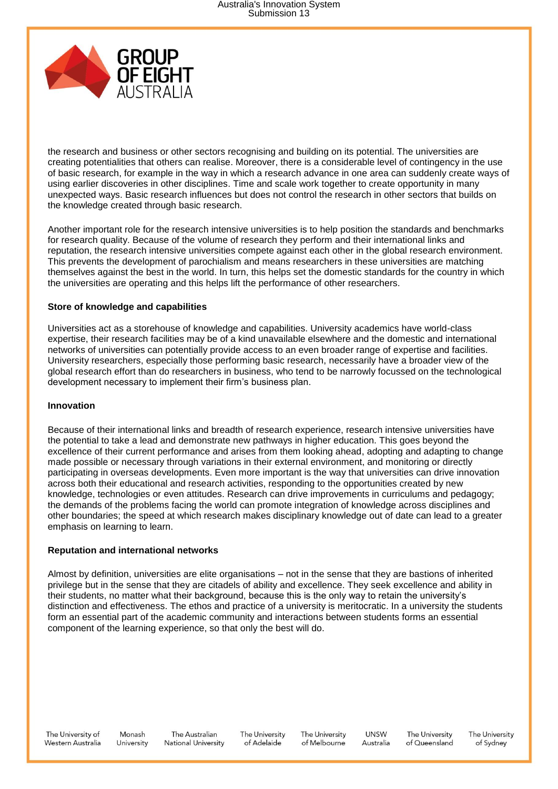

the research and business or other sectors recognising and building on its potential. The universities are creating potentialities that others can realise. Moreover, there is a considerable level of contingency in the use of basic research, for example in the way in which a research advance in one area can suddenly create ways of using earlier discoveries in other disciplines. Time and scale work together to create opportunity in many unexpected ways. Basic research influences but does not control the research in other sectors that builds on the knowledge created through basic research.

Another important role for the research intensive universities is to help position the standards and benchmarks for research quality. Because of the volume of research they perform and their international links and reputation, the research intensive universities compete against each other in the global research environment. This prevents the development of parochialism and means researchers in these universities are matching themselves against the best in the world. In turn, this helps set the domestic standards for the country in which the universities are operating and this helps lift the performance of other researchers.

### **Store of knowledge and capabilities**

Universities act as a storehouse of knowledge and capabilities. University academics have world-class expertise, their research facilities may be of a kind unavailable elsewhere and the domestic and international networks of universities can potentially provide access to an even broader range of expertise and facilities. University researchers, especially those performing basic research, necessarily have a broader view of the global research effort than do researchers in business, who tend to be narrowly focussed on the technological development necessary to implement their firm's business plan.

### **Innovation**

Because of their international links and breadth of research experience, research intensive universities have the potential to take a lead and demonstrate new pathways in higher education. This goes beyond the excellence of their current performance and arises from them looking ahead, adopting and adapting to change made possible or necessary through variations in their external environment, and monitoring or directly participating in overseas developments. Even more important is the way that universities can drive innovation across both their educational and research activities, responding to the opportunities created by new knowledge, technologies or even attitudes. Research can drive improvements in curriculums and pedagogy; the demands of the problems facing the world can promote integration of knowledge across disciplines and other boundaries; the speed at which research makes disciplinary knowledge out of date can lead to a greater emphasis on learning to learn.

### **Reputation and international networks**

Almost by definition, universities are elite organisations – not in the sense that they are bastions of inherited privilege but in the sense that they are citadels of ability and excellence. They seek excellence and ability in their students, no matter what their background, because this is the only way to retain the university's distinction and effectiveness. The ethos and practice of a university is meritocratic. In a university the students form an essential part of the academic community and interactions between students forms an essential component of the learning experience, so that only the best will do.

The University of Western Australia

Monash University

The Australian The University **National University** of Adelaide

The University of Melbourne

**UNSW** Australia

The University of Queensland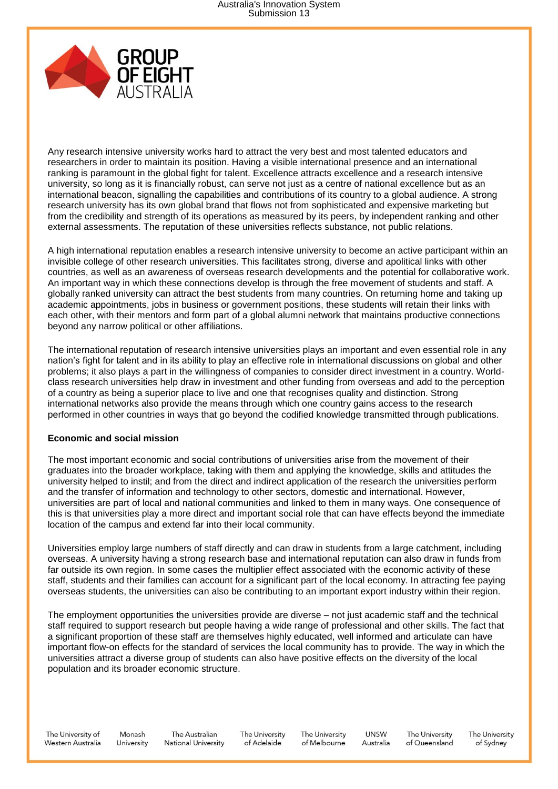

Any research intensive university works hard to attract the very best and most talented educators and researchers in order to maintain its position. Having a visible international presence and an international ranking is paramount in the global fight for talent. Excellence attracts excellence and a research intensive university, so long as it is financially robust, can serve not just as a centre of national excellence but as an international beacon, signalling the capabilities and contributions of its country to a global audience. A strong research university has its own global brand that flows not from sophisticated and expensive marketing but from the credibility and strength of its operations as measured by its peers, by independent ranking and other external assessments. The reputation of these universities reflects substance, not public relations.

A high international reputation enables a research intensive university to become an active participant within an invisible college of other research universities. This facilitates strong, diverse and apolitical links with other countries, as well as an awareness of overseas research developments and the potential for collaborative work. An important way in which these connections develop is through the free movement of students and staff. A globally ranked university can attract the best students from many countries. On returning home and taking up academic appointments, jobs in business or government positions, these students will retain their links with each other, with their mentors and form part of a global alumni network that maintains productive connections beyond any narrow political or other affiliations.

The international reputation of research intensive universities plays an important and even essential role in any nation's fight for talent and in its ability to play an effective role in international discussions on global and other problems; it also plays a part in the willingness of companies to consider direct investment in a country. Worldclass research universities help draw in investment and other funding from overseas and add to the perception of a country as being a superior place to live and one that recognises quality and distinction. Strong international networks also provide the means through which one country gains access to the research performed in other countries in ways that go beyond the codified knowledge transmitted through publications.

### **Economic and social mission**

The most important economic and social contributions of universities arise from the movement of their graduates into the broader workplace, taking with them and applying the knowledge, skills and attitudes the university helped to instil; and from the direct and indirect application of the research the universities perform and the transfer of information and technology to other sectors, domestic and international. However, universities are part of local and national communities and linked to them in many ways. One consequence of this is that universities play a more direct and important social role that can have effects beyond the immediate location of the campus and extend far into their local community.

Universities employ large numbers of staff directly and can draw in students from a large catchment, including overseas. A university having a strong research base and international reputation can also draw in funds from far outside its own region. In some cases the multiplier effect associated with the economic activity of these staff, students and their families can account for a significant part of the local economy. In attracting fee paying overseas students, the universities can also be contributing to an important export industry within their region.

The employment opportunities the universities provide are diverse – not just academic staff and the technical staff required to support research but people having a wide range of professional and other skills. The fact that a significant proportion of these staff are themselves highly educated, well informed and articulate can have important flow-on effects for the standard of services the local community has to provide. The way in which the universities attract a diverse group of students can also have positive effects on the diversity of the local population and its broader economic structure.

The University of Western Australia

Monash The Australian **National University** University

The University of Adelaide

The University of Melbourne

**UNSW** Australia

The University of Queensland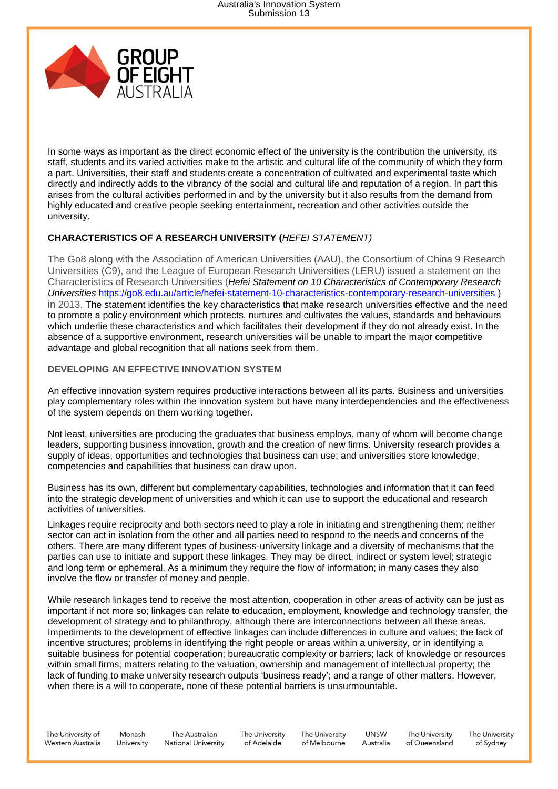

In some ways as important as the direct economic effect of the university is the contribution the university, its staff, students and its varied activities make to the artistic and cultural life of the community of which they form a part. Universities, their staff and students create a concentration of cultivated and experimental taste which directly and indirectly adds to the vibrancy of the social and cultural life and reputation of a region. In part this arises from the cultural activities performed in and by the university but it also results from the demand from highly educated and creative people seeking entertainment, recreation and other activities outside the university.

### **CHARACTERISTICS OF A RESEARCH UNIVERSITY (***HEFEI STATEMENT)*

The Go8 along with the Association of American Universities (AAU), the Consortium of China 9 Research Universities (C9), and the League of European Research Universities (LERU) issued a statement on the Characteristics of Research Universities (*[Hefei Statement on 10 Characteristics of Contemporary Research](https://go8.edu.au/article/hefei-statement-10-characteristics-contemporary-research-universities)  [Universities](https://go8.edu.au/article/hefei-statement-10-characteristics-contemporary-research-universities)* <https://go8.edu.au/article/hefei-statement-10-characteristics-contemporary-research-universities> ) in 2013. The statement identifies the key characteristics that make research universities effective and the need to promote a policy environment which protects, nurtures and cultivates the values, standards and behaviours which underlie these characteristics and which facilitates their development if they do not already exist. In the absence of a supportive environment, research universities will be unable to impart the major competitive advantage and global recognition that all nations seek from them.

# **DEVELOPING AN EFFECTIVE INNOVATION SYSTEM**

An effective innovation system requires productive interactions between all its parts. Business and universities play complementary roles within the innovation system but have many interdependencies and the effectiveness of the system depends on them working together.

Not least, universities are producing the graduates that business employs, many of whom will become change leaders, supporting business innovation, growth and the creation of new firms. University research provides a supply of ideas, opportunities and technologies that business can use; and universities store knowledge, competencies and capabilities that business can draw upon.

Business has its own, different but complementary capabilities, technologies and information that it can feed into the strategic development of universities and which it can use to support the educational and research activities of universities.

Linkages require reciprocity and both sectors need to play a role in initiating and strengthening them; neither sector can act in isolation from the other and all parties need to respond to the needs and concerns of the others. There are many different types of business-university linkage and a diversity of mechanisms that the parties can use to initiate and support these linkages. They may be direct, indirect or system level; strategic and long term or ephemeral. As a minimum they require the flow of information; in many cases they also involve the flow or transfer of money and people.

While research linkages tend to receive the most attention, cooperation in other areas of activity can be just as important if not more so; linkages can relate to education, employment, knowledge and technology transfer, the development of strategy and to philanthropy, although there are interconnections between all these areas. Impediments to the development of effective linkages can include differences in culture and values; the lack of incentive structures; problems in identifying the right people or areas within a university, or in identifying a suitable business for potential cooperation; bureaucratic complexity or barriers; lack of knowledge or resources within small firms; matters relating to the valuation, ownership and management of intellectual property; the lack of funding to make university research outputs 'business ready'; and a range of other matters. However, when there is a will to cooperate, none of these potential barriers is unsurmountable.

The University of Western Australia

Monash The Australian **National University** University

The University of Adelaide

The University of Melbourne

**UNSW** Australia

The University of Queensland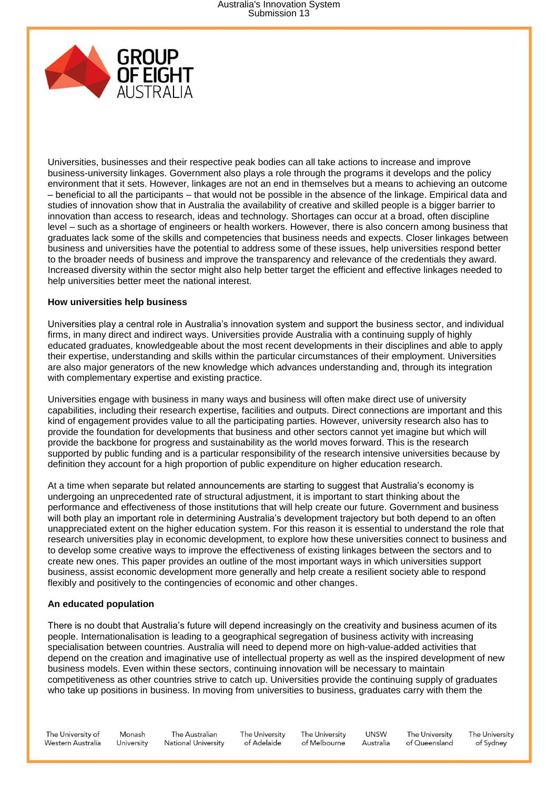

Universities, businesses and their respective peak bodies can all take actions to increase and improve business-university linkages. Government also plays a role through the programs it develops and the policy environment that it sets. However, linkages are not an end in themselves but a means to achieving an outcome – beneficial to all the participants – that would not be possible in the absence of the linkage. Empirical data and studies of innovation show that in Australia the availability of creative and skilled people is a bigger barrier to innovation than access to research, ideas and technology. Shortages can occur at a broad, often discipline level – such as a shortage of engineers or health workers. However, there is also concern among business that graduates lack some of the skills and competencies that business needs and expects. Closer linkages between business and universities have the potential to address some of these issues, help universities respond better to the broader needs of business and improve the transparency and relevance of the credentials they award. Increased diversity within the sector might also help better target the efficient and effective linkages needed to help universities better meet the national interest.

### **How universities help business**

Universities play a central role in Australia's innovation system and support the business sector, and individual firms, in many direct and indirect ways. Universities provide Australia with a continuing supply of highly educated graduates, knowledgeable about the most recent developments in their disciplines and able to apply their expertise, understanding and skills within the particular circumstances of their employment. Universities are also major generators of the new knowledge which advances understanding and, through its integration with complementary expertise and existing practice.

Universities engage with business in many ways and business will often make direct use of university capabilities, including their research expertise, facilities and outputs. Direct connections are important and this kind of engagement provides value to all the participating parties. However, university research also has to provide the foundation for developments that business and other sectors cannot yet imagine but which will provide the backbone for progress and sustainability as the world moves forward. This is the research supported by public funding and is a particular responsibility of the research intensive universities because by definition they account for a high proportion of public expenditure on higher education research.

At a time when separate but related announcements are starting to suggest that Australia's economy is undergoing an unprecedented rate of structural adjustment, it is important to start thinking about the performance and effectiveness of those institutions that will help create our future. Government and business will both play an important role in determining Australia's development trajectory but both depend to an often unappreciated extent on the higher education system. For this reason it is essential to understand the role that research universities play in economic development, to explore how these universities connect to business and to develop some creative ways to improve the effectiveness of existing linkages between the sectors and to create new ones. This paper provides an outline of the most important ways in which universities support business, assist economic development more generally and help create a resilient society able to respond flexibly and positively to the contingencies of economic and other changes.

### **An educated population**

There is no doubt that Australia's future will depend increasingly on the creativity and business acumen of its people. Internationalisation is leading to a geographical segregation of business activity with increasing specialisation between countries. Australia will need to depend more on high-value-added activities that depend on the creation and imaginative use of intellectual property as well as the inspired development of new business models. Even within these sectors, continuing innovation will be necessary to maintain competitiveness as other countries strive to catch up. Universities provide the continuing supply of graduates who take up positions in business. In moving from universities to business, graduates carry with them the

The University of Western Australia

Monash The Australian **National University** University

The University of Adelaide

The University of Melbourne

**UNSW** Australia

The University of Queensland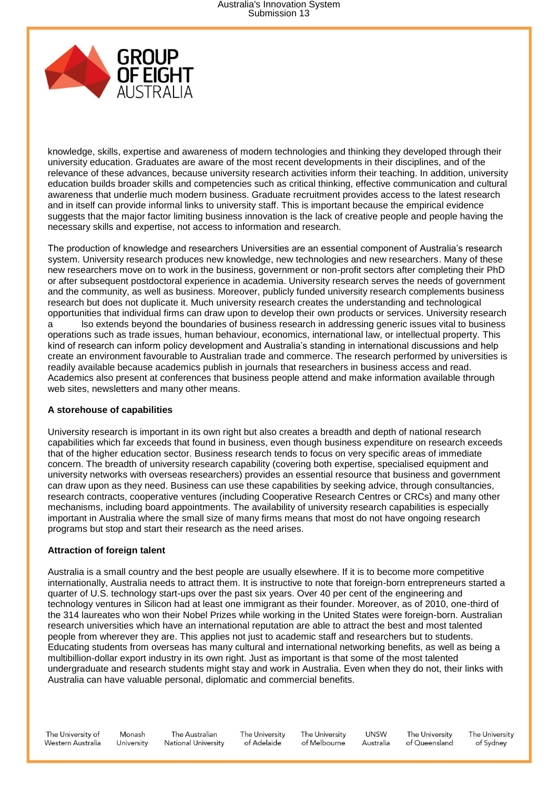

knowledge, skills, expertise and awareness of modern technologies and thinking they developed through their university education. Graduates are aware of the most recent developments in their disciplines, and of the relevance of these advances, because university research activities inform their teaching. In addition, university education builds broader skills and competencies such as critical thinking, effective communication and cultural awareness that underlie much modern business. Graduate recruitment provides access to the latest research and in itself can provide informal links to university staff. This is important because the empirical evidence suggests that the major factor limiting business innovation is the lack of creative people and people having the necessary skills and expertise, not access to information and research.

The production of knowledge and researchers Universities are an essential component of Australia's research system. University research produces new knowledge, new technologies and new researchers. Many of these new researchers move on to work in the business, government or non-profit sectors after completing their PhD or after subsequent postdoctoral experience in academia. University research serves the needs of government and the community, as well as business. Moreover, publicly funded university research complements business research but does not duplicate it. Much university research creates the understanding and technological opportunities that individual firms can draw upon to develop their own products or services. University research a lso extends beyond the boundaries of business research in addressing generic issues vital to business operations such as trade issues, human behaviour, economics, international law, or intellectual property. This kind of research can inform policy development and Australia's standing in international discussions and help create an environment favourable to Australian trade and commerce. The research performed by universities is readily available because academics publish in journals that researchers in business access and read. Academics also present at conferences that business people attend and make information available through web sites, newsletters and many other means.

### **A storehouse of capabilities**

University research is important in its own right but also creates a breadth and depth of national research capabilities which far exceeds that found in business, even though business expenditure on research exceeds that of the higher education sector. Business research tends to focus on very specific areas of immediate concern. The breadth of university research capability (covering both expertise, specialised equipment and university networks with overseas researchers) provides an essential resource that business and government can draw upon as they need. Business can use these capabilities by seeking advice, through consultancies, research contracts, cooperative ventures (including Cooperative Research Centres or CRCs) and many other mechanisms, including board appointments. The availability of university research capabilities is especially important in Australia where the small size of many firms means that most do not have ongoing research programs but stop and start their research as the need arises.

### **Attraction of foreign talent**

Australia is a small country and the best people are usually elsewhere. If it is to become more competitive internationally, Australia needs to attract them. It is instructive to note that foreign-born entrepreneurs started a quarter of U.S. technology start-ups over the past six years. Over 40 per cent of the engineering and technology ventures in Silicon had at least one immigrant as their founder. Moreover, as of 2010, one-third of the 314 laureates who won their Nobel Prizes while working in the United States were foreign-born. Australian research universities which have an international reputation are able to attract the best and most talented people from wherever they are. This applies not just to academic staff and researchers but to students. Educating students from overseas has many cultural and international networking benefits, as well as being a multibillion-dollar export industry in its own right. Just as important is that some of the most talented undergraduate and research students might stay and work in Australia. Even when they do not, their links with Australia can have valuable personal, diplomatic and commercial benefits.

The University of Western Australia

Monash The Australian **National University** University

The University of Adelaide

The University of Melbourne

**UNSW** Australia

The University of Queensland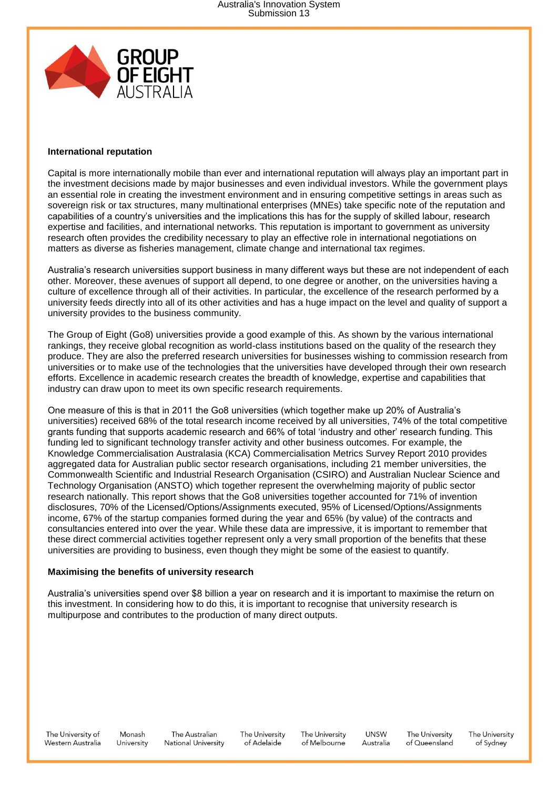

### **International reputation**

Capital is more internationally mobile than ever and international reputation will always play an important part in the investment decisions made by major businesses and even individual investors. While the government plays an essential role in creating the investment environment and in ensuring competitive settings in areas such as sovereign risk or tax structures, many multinational enterprises (MNEs) take specific note of the reputation and capabilities of a country's universities and the implications this has for the supply of skilled labour, research expertise and facilities, and international networks. This reputation is important to government as university research often provides the credibility necessary to play an effective role in international negotiations on matters as diverse as fisheries management, climate change and international tax regimes.

Australia's research universities support business in many different ways but these are not independent of each other. Moreover, these avenues of support all depend, to one degree or another, on the universities having a culture of excellence through all of their activities. In particular, the excellence of the research performed by a university feeds directly into all of its other activities and has a huge impact on the level and quality of support a university provides to the business community.

The Group of Eight (Go8) universities provide a good example of this. As shown by the various international rankings, they receive global recognition as world-class institutions based on the quality of the research they produce. They are also the preferred research universities for businesses wishing to commission research from universities or to make use of the technologies that the universities have developed through their own research efforts. Excellence in academic research creates the breadth of knowledge, expertise and capabilities that industry can draw upon to meet its own specific research requirements.

One measure of this is that in 2011 the Go8 universities (which together make up 20% of Australia's universities) received 68% of the total research income received by all universities, 74% of the total competitive grants funding that supports academic research and 66% of total 'industry and other' research funding. This funding led to significant technology transfer activity and other business outcomes. For example, the Knowledge Commercialisation Australasia (KCA) Commercialisation Metrics Survey Report 2010 provides aggregated data for Australian public sector research organisations, including 21 member universities, the Commonwealth Scientific and Industrial Research Organisation (CSIRO) and Australian Nuclear Science and Technology Organisation (ANSTO) which together represent the overwhelming majority of public sector research nationally. This report shows that the Go8 universities together accounted for 71% of invention disclosures, 70% of the Licensed/Options/Assignments executed, 95% of Licensed/Options/Assignments income, 67% of the startup companies formed during the year and 65% (by value) of the contracts and consultancies entered into over the year. While these data are impressive, it is important to remember that these direct commercial activities together represent only a very small proportion of the benefits that these universities are providing to business, even though they might be some of the easiest to quantify.

### **Maximising the benefits of university research**

Australia's universities spend over \$8 billion a year on research and it is important to maximise the return on this investment. In considering how to do this, it is important to recognise that university research is multipurpose and contributes to the production of many direct outputs.

The University of Western Australia

Monash University

The Australian The University **National University** of Adelaide

The University of Melbourne

**UNSW** Australia

The University of Queensland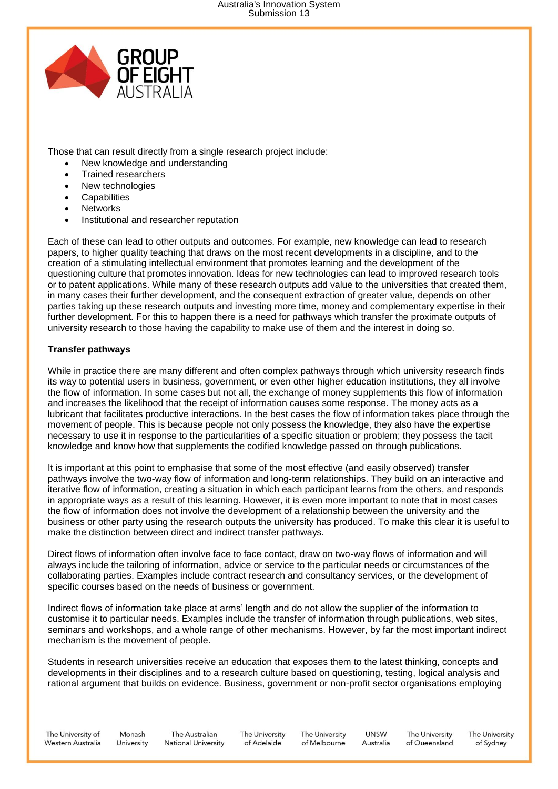

Those that can result directly from a single research project include:

- New knowledge and understanding
- Trained researchers
- New technologies
- **Capabilities**
- Networks
- Institutional and researcher reputation

Each of these can lead to other outputs and outcomes. For example, new knowledge can lead to research papers, to higher quality teaching that draws on the most recent developments in a discipline, and to the creation of a stimulating intellectual environment that promotes learning and the development of the questioning culture that promotes innovation. Ideas for new technologies can lead to improved research tools or to patent applications. While many of these research outputs add value to the universities that created them, in many cases their further development, and the consequent extraction of greater value, depends on other parties taking up these research outputs and investing more time, money and complementary expertise in their further development. For this to happen there is a need for pathways which transfer the proximate outputs of university research to those having the capability to make use of them and the interest in doing so.

### **Transfer pathways**

While in practice there are many different and often complex pathways through which university research finds its way to potential users in business, government, or even other higher education institutions, they all involve the flow of information. In some cases but not all, the exchange of money supplements this flow of information and increases the likelihood that the receipt of information causes some response. The money acts as a lubricant that facilitates productive interactions. In the best cases the flow of information takes place through the movement of people. This is because people not only possess the knowledge, they also have the expertise necessary to use it in response to the particularities of a specific situation or problem; they possess the tacit knowledge and know how that supplements the codified knowledge passed on through publications.

It is important at this point to emphasise that some of the most effective (and easily observed) transfer pathways involve the two-way flow of information and long-term relationships. They build on an interactive and iterative flow of information, creating a situation in which each participant learns from the others, and responds in appropriate ways as a result of this learning. However, it is even more important to note that in most cases the flow of information does not involve the development of a relationship between the university and the business or other party using the research outputs the university has produced. To make this clear it is useful to make the distinction between direct and indirect transfer pathways.

Direct flows of information often involve face to face contact, draw on two-way flows of information and will always include the tailoring of information, advice or service to the particular needs or circumstances of the collaborating parties. Examples include contract research and consultancy services, or the development of specific courses based on the needs of business or government.

Indirect flows of information take place at arms' length and do not allow the supplier of the information to customise it to particular needs. Examples include the transfer of information through publications, web sites, seminars and workshops, and a whole range of other mechanisms. However, by far the most important indirect mechanism is the movement of people.

Students in research universities receive an education that exposes them to the latest thinking, concepts and developments in their disciplines and to a research culture based on questioning, testing, logical analysis and rational argument that builds on evidence. Business, government or non-profit sector organisations employing

The University of Western Australia

Monash The Australian **National University** University

The University of Adelaide

The University of Melbourne

**UNSW** The University Australia of Queensland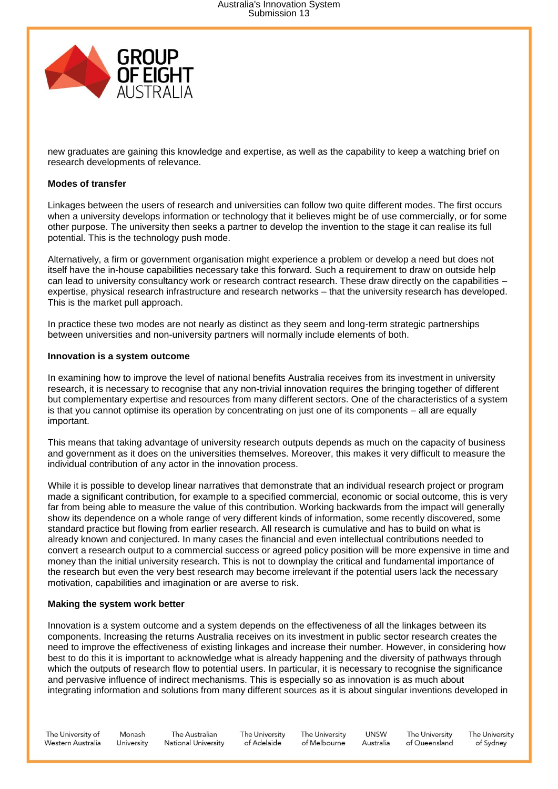

new graduates are gaining this knowledge and expertise, as well as the capability to keep a watching brief on research developments of relevance.

### **Modes of transfer**

Linkages between the users of research and universities can follow two quite different modes. The first occurs when a university develops information or technology that it believes might be of use commercially, or for some other purpose. The university then seeks a partner to develop the invention to the stage it can realise its full potential. This is the technology push mode.

Alternatively, a firm or government organisation might experience a problem or develop a need but does not itself have the in-house capabilities necessary take this forward. Such a requirement to draw on outside help can lead to university consultancy work or research contract research. These draw directly on the capabilities – expertise, physical research infrastructure and research networks – that the university research has developed. This is the market pull approach.

In practice these two modes are not nearly as distinct as they seem and long-term strategic partnerships between universities and non-university partners will normally include elements of both.

### **Innovation is a system outcome**

In examining how to improve the level of national benefits Australia receives from its investment in university research, it is necessary to recognise that any non-trivial innovation requires the bringing together of different but complementary expertise and resources from many different sectors. One of the characteristics of a system is that you cannot optimise its operation by concentrating on just one of its components – all are equally important.

This means that taking advantage of university research outputs depends as much on the capacity of business and government as it does on the universities themselves. Moreover, this makes it very difficult to measure the individual contribution of any actor in the innovation process.

While it is possible to develop linear narratives that demonstrate that an individual research project or program made a significant contribution, for example to a specified commercial, economic or social outcome, this is very far from being able to measure the value of this contribution. Working backwards from the impact will generally show its dependence on a whole range of very different kinds of information, some recently discovered, some standard practice but flowing from earlier research. All research is cumulative and has to build on what is already known and conjectured. In many cases the financial and even intellectual contributions needed to convert a research output to a commercial success or agreed policy position will be more expensive in time and money than the initial university research. This is not to downplay the critical and fundamental importance of the research but even the very best research may become irrelevant if the potential users lack the necessary motivation, capabilities and imagination or are averse to risk.

### **Making the system work better**

Innovation is a system outcome and a system depends on the effectiveness of all the linkages between its components. Increasing the returns Australia receives on its investment in public sector research creates the need to improve the effectiveness of existing linkages and increase their number. However, in considering how best to do this it is important to acknowledge what is already happening and the diversity of pathways through which the outputs of research flow to potential users. In particular, it is necessary to recognise the significance and pervasive influence of indirect mechanisms. This is especially so as innovation is as much about integrating information and solutions from many different sources as it is about singular inventions developed in

The University of Western Australia

Monash The Australian **National University** University

The University of Adelaide

The University of Melbourne

**UNSW** Australia

The University of Queensland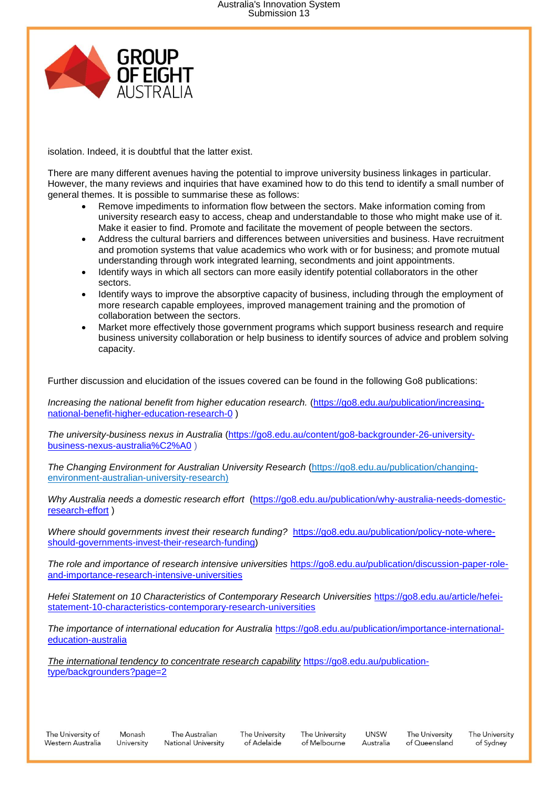

isolation. Indeed, it is doubtful that the latter exist.

There are many different avenues having the potential to improve university business linkages in particular. However, the many reviews and inquiries that have examined how to do this tend to identify a small number of general themes. It is possible to summarise these as follows:

- Remove impediments to information flow between the sectors. Make information coming from university research easy to access, cheap and understandable to those who might make use of it. Make it easier to find. Promote and facilitate the movement of people between the sectors.
- Address the cultural barriers and differences between universities and business. Have recruitment and promotion systems that value academics who work with or for business; and promote mutual understanding through work integrated learning, secondments and joint appointments.
- Identify ways in which all sectors can more easily identify potential collaborators in the other sectors.
- Identify ways to improve the absorptive capacity of business, including through the employment of more research capable employees, improved management training and the promotion of collaboration between the sectors.
- Market more effectively those government programs which support business research and require business university collaboration or help business to identify sources of advice and problem solving capacity.

Further discussion and elucidation of the issues covered can be found in the following Go8 publications:

*Increasing the national benefit from higher education research.* [\(https://go8.edu.au/publication/increasing](https://go8.edu.au/publication/increasing-national-benefit-higher-education-research-0)[national-benefit-higher-education-research-0](https://go8.edu.au/publication/increasing-national-benefit-higher-education-research-0) )

*The university-business nexus in Australia* [\(https://go8.edu.au/content/go8-backgrounder-26-university](https://go8.edu.au/content/go8-backgrounder-26-university-business-nexus-australia%C2%A0)[business-nexus-australia%C2%A0](https://go8.edu.au/content/go8-backgrounder-26-university-business-nexus-australia%C2%A0) )

*[The Changing Environment for Australian University Research](https://go8.edu.au/publication/changing-environment-australian-university-research)* [\(https://go8.edu.au/publication/changing](https://go8.edu.au/publication/changing-environment-australian-university-research)[environment-australian-university-research\)](https://go8.edu.au/publication/changing-environment-australian-university-research)

*[Why Australia needs a domestic research effort](https://go8.edu.au/publication/why-australia-needs-domestic-research-effort)* [\(https://go8.edu.au/publication/why-australia-needs-domestic](https://go8.edu.au/publication/why-australia-needs-domestic-research-effort)[research-effort](https://go8.edu.au/publication/why-australia-needs-domestic-research-effort) )

*Where should governments invest their research funding?* [https://go8.edu.au/publication/policy-note-where](https://go8.edu.au/publication/policy-note-where-should-governments-invest-their-research-funding)[should-governments-invest-their-research-funding\)](https://go8.edu.au/publication/policy-note-where-should-governments-invest-their-research-funding)

*[The role and importance of research intensive universities](https://go8.edu.au/publication/discussion-paper-role-and-importance-research-intensive-universities)* [https://go8.edu.au/publication/discussion-paper-role](https://go8.edu.au/publication/discussion-paper-role-and-importance-research-intensive-universities)[and-importance-research-intensive-universities](https://go8.edu.au/publication/discussion-paper-role-and-importance-research-intensive-universities)

*[Hefei Statement on 10 Characteristics of Contemporary Research Universities](https://go8.edu.au/article/hefei-statement-10-characteristics-contemporary-research-universities)* [https://go8.edu.au/article/hefei](https://go8.edu.au/article/hefei-statement-10-characteristics-contemporary-research-universities)[statement-10-characteristics-contemporary-research-universities](https://go8.edu.au/article/hefei-statement-10-characteristics-contemporary-research-universities)

*The importance of international education for Australia* [https://go8.edu.au/publication/importance-international](https://go8.edu.au/publication/importance-international-education-australia)[education-australia](https://go8.edu.au/publication/importance-international-education-australia)

*[The international tendency to concentrate research capability](file:///C:/ianm/The%20international%20tendency%20to%20concentrate%20research%20capability)* [https://go8.edu.au/publication](https://go8.edu.au/publication-type/backgrounders?page=2)[type/backgrounders?page=2](https://go8.edu.au/publication-type/backgrounders?page=2)

The University of Adelaide

The University of Melbourne

**UNSW** Australia